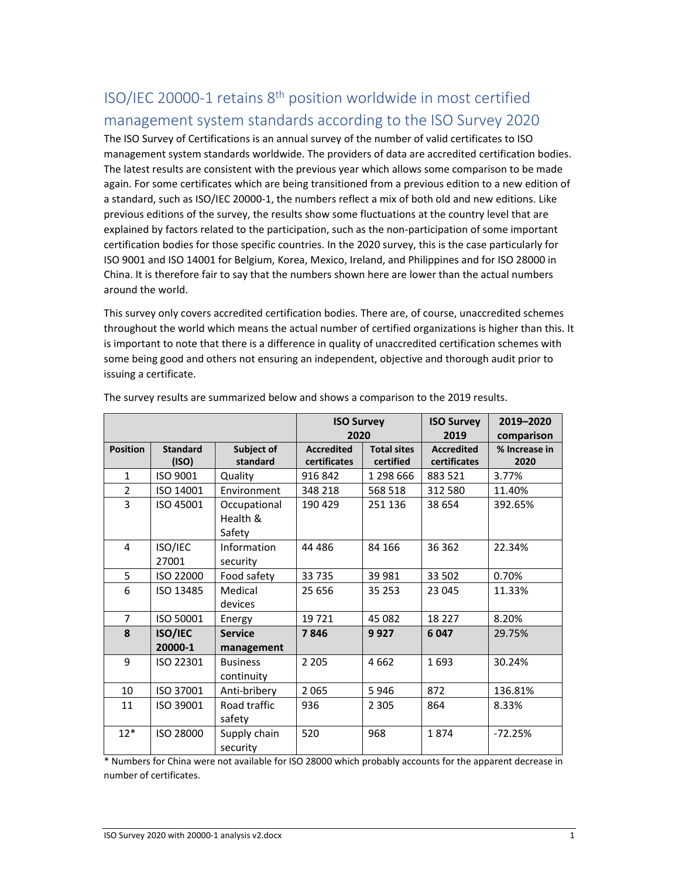## ISO/IEC 20000‐1 retains 8th position worldwide in most certified management system standards according to the ISO Survey 2020

The ISO Survey of Certifications is an annual survey of the number of valid certificates to ISO management system standards worldwide. The providers of data are accredited certification bodies. The latest results are consistent with the previous year which allows some comparison to be made again. For some certificates which are being transitioned from a previous edition to a new edition of a standard, such as ISO/IEC 20000‐1, the numbers reflect a mix of both old and new editions. Like previous editions of the survey, the results show some fluctuations at the country level that are explained by factors related to the participation, such as the non-participation of some important certification bodies for those specific countries. In the 2020 survey, this is the case particularly for ISO 9001 and ISO 14001 for Belgium, Korea, Mexico, Ireland, and Philippines and for ISO 28000 in China. It is therefore fair to say that the numbers shown here are lower than the actual numbers around the world.

This survey only covers accredited certification bodies. There are, of course, unaccredited schemes throughout the world which means the actual number of certified organizations is higher than this. It is important to note that there is a difference in quality of unaccredited certification schemes with some being good and others not ensuring an independent, objective and thorough audit prior to issuing a certificate.

|                 |                           |                                    | <b>ISO Survey</b> |                    | <b>ISO Survey</b> | 2019-2020     |
|-----------------|---------------------------|------------------------------------|-------------------|--------------------|-------------------|---------------|
|                 |                           |                                    | 2020              |                    | 2019              | comparison    |
| <b>Position</b> | <b>Standard</b>           | Subject of                         | <b>Accredited</b> | <b>Total sites</b> | <b>Accredited</b> | % Increase in |
|                 | (ISO)                     | standard                           | certificates      | certified          | certificates      | 2020          |
| $\mathbf{1}$    | ISO 9001                  | Quality                            | 916 842           | 1 298 666          | 883 521           | 3.77%         |
| $\overline{2}$  | ISO 14001                 | Environment                        | 348 218           | 568 518            | 312 580           | 11.40%        |
| $\overline{3}$  | ISO 45001                 | Occupational<br>Health &<br>Safety | 190 429           | 251 136            | 38 654            | 392.65%       |
| 4               | ISO/IEC<br>27001          | Information<br>security            | 44 4 8 6          | 84 166             | 36 362            | 22.34%        |
| 5               | ISO 22000                 | Food safety                        | 33 735            | 39 981             | 33 502            | 0.70%         |
| 6               | ISO 13485                 | Medical<br>devices                 | 25 656            | 35 253             | 23 045            | 11.33%        |
| $\overline{7}$  | ISO 50001                 | Energy                             | 19721             | 45 082             | 18 227            | 8.20%         |
| 8               | <b>ISO/IEC</b><br>20000-1 | <b>Service</b><br>management       | 7846              | 9927               | 6047              | 29.75%        |
| 9               | ISO 22301                 | <b>Business</b><br>continuity      | 2 2 0 5           | 4662               | 1693              | 30.24%        |
| 10              | ISO 37001                 | Anti-bribery                       | 2 0 6 5           | 5946               | 872               | 136.81%       |
| 11              | ISO 39001                 | Road traffic<br>safety             | 936               | 2 3 0 5            | 864               | 8.33%         |
| $12*$           | ISO 28000                 | Supply chain<br>security           | 520               | 968                | 1874              | $-72.25%$     |

The survey results are summarized below and shows a comparison to the 2019 results.

\* Numbers for China were not available for ISO 28000 which probably accounts for the apparent decrease in number of certificates.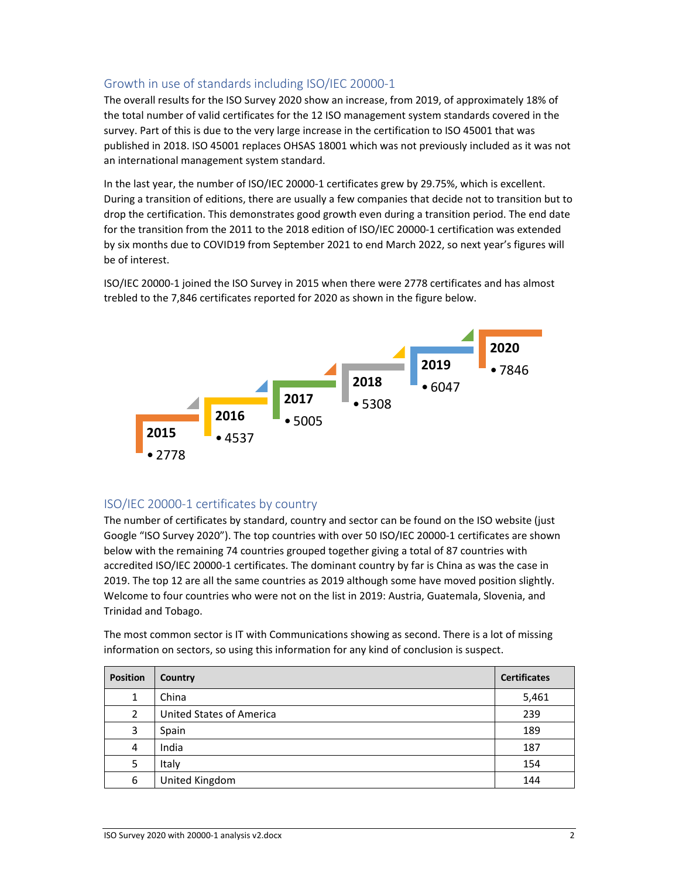## Growth in use of standards including ISO/IEC 20000‐1

The overall results for the ISO Survey 2020 show an increase, from 2019, of approximately 18% of the total number of valid certificates for the 12 ISO management system standards covered in the survey. Part of this is due to the very large increase in the certification to ISO 45001 that was published in 2018. ISO 45001 replaces OHSAS 18001 which was not previously included as it was not an international management system standard.

In the last year, the number of ISO/IEC 20000-1 certificates grew by 29.75%, which is excellent. During a transition of editions, there are usually a few companies that decide not to transition but to drop the certification. This demonstrates good growth even during a transition period. The end date for the transition from the 2011 to the 2018 edition of ISO/IEC 20000-1 certification was extended by six months due to COVID19 from September 2021 to end March 2022, so next year's figures will be of interest.

ISO/IEC 20000‐1 joined the ISO Survey in 2015 when there were 2778 certificates and has almost trebled to the 7,846 certificates reported for 2020 as shown in the figure below.



## ISO/IEC 20000‐1 certificates by country

The number of certificates by standard, country and sector can be found on the ISO website (just Google "ISO Survey 2020"). The top countries with over 50 ISO/IEC 20000‐1 certificates are shown below with the remaining 74 countries grouped together giving a total of 87 countries with accredited ISO/IEC 20000‐1 certificates. The dominant country by far is China as was the case in 2019. The top 12 are all the same countries as 2019 although some have moved position slightly. Welcome to four countries who were not on the list in 2019: Austria, Guatemala, Slovenia, and Trinidad and Tobago.

The most common sector is IT with Communications showing as second. There is a lot of missing information on sectors, so using this information for any kind of conclusion is suspect.

| <b>Position</b> | <b>Country</b>                  | <b>Certificates</b> |
|-----------------|---------------------------------|---------------------|
| 1               | China                           | 5,461               |
| $\mathcal{P}$   | <b>United States of America</b> | 239                 |
| 3               | Spain                           | 189                 |
| 4               | India                           | 187                 |
| 5               | Italy                           | 154                 |
| 6               | United Kingdom                  | 144                 |